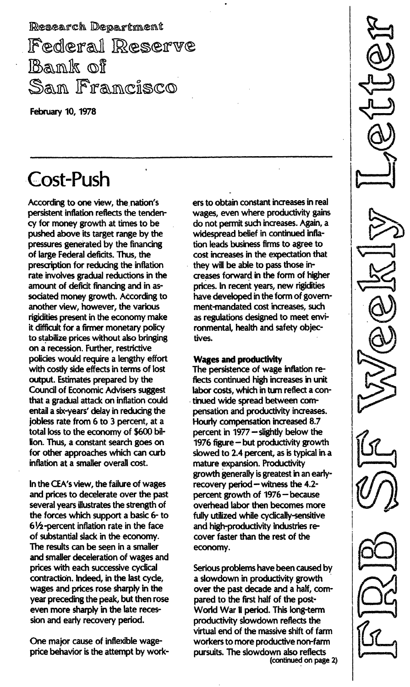Research Department Federal Reserve Bank of Sam Francisco

February 10, 1978

# Cost-Push

According to one view, the nation's persistent inflation reflects the tendency for money growth at times to be pushed above its target range by the pressures generated by the financing of large Federal deficits. Thus, the prescription for reducing the inflation rate involves gradual reductions in the amount of deficit financing and in associated money growth. According to another view, however, the various rigidities present in the economy make it difficult for a firmer monetary policy to stabilize prices without also bringing on a recession. Further, restrictive policies would require a lengthy effort with costly side effects in terms of lost output. Estimates prepared by the Council of Economic Advisers suggest that a gradual attack on inflation could entail a six-years' delay in reducing the jobless rate from 6 to 3 percent, at a total loss to the economy of \$600 billion. Thus, a constant search goes on for other approaches which can curb inflation at a smaller overall cost.

In the CEA's view, the failure of wages and prices to decelerate over the past several years illustrates the strength of the forces which support a basic 6- to 61/2 -percent inflation rate in the face of substantial slack in the economy. The results can be seen in a smaller and smaller deceleration of wages and prices with each successive cyclical contraction. Indeed, in the last cycle, wages and prices rose sharply in the year preceding the peak, but then rose even more sharply in the late recession and early recovery period.

One major cause of inflexible wageprice behavior is the attempt by workers to obtain constant increases in real wages, even where productivity gains do not permit such increases. Again, a widespread belief in continued inflation leads business firms to agree to cost increases in the expectation that they will be able to pass those increases forward in the form of higher prices. In recent years, new rigidities have developed in the form of government-mandated cost increases, such as regulations designed to meet environmental, health and safety objectives.

### Wages and productivity

The persistence of wage inflation reflects continued high increases in unit labor costs, which in turn reflect a con- . tinued wide spread between compensation and productivity increases. Hourly compensation increased 8.7 percent in 1977 - slightly below the 1976 figure - but productivity growth slowed to 2.4 percent, as is typical in a mature expansion. Productivity growth generally is greatest in an earlyrecovery period  $-$  witness the 4.2percent growth of 1976 - because overhead labor then becomes more fully utilized while cyclically-sensitive and high-productivity industries recover faster than the rest of the economy.

Serious problems have been caused by a slowdown in productivity growth over the past decade and a half, compared to the first half of the post-World War II period. This long-term productivity slowdown reflects the virtual end of the massive shift of farm workers to more productive non-farm pursuits. The slowdown also reflects (continued on page 2)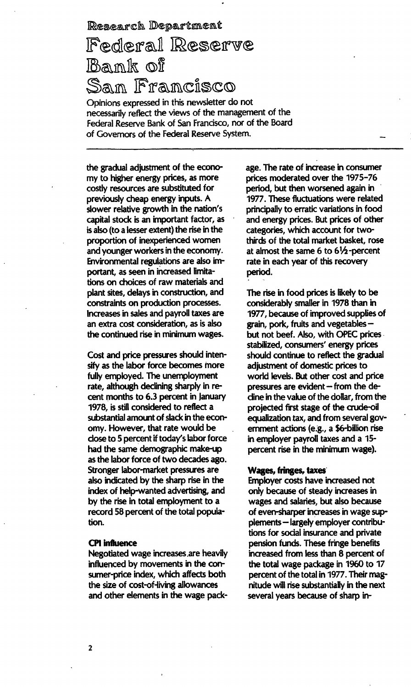Research Department

# Federal Reserve Bank of San Francisco

Opinions expressed in this newsletter do not necessarily reflect the views of the management of the Federal Reserve Bank of San Francisco, nor of the Board of Governors of the Federal Reserve System.

the gradual adjustment of the economy to higher energy prices, as more costly resources are substituted for previously cheap energy inputs. A slower relative growth in the nation's capital stock is an important factor, as is also (to a lesser extent) the rise in the proportion of inexperienced women and younger workers in the economy. Environmental regulations are also important, as seen in increased limitations on choices of raw materials and plant sites, delays in construction, and constraints on production processes. Increases in sales and payroll taxes are an extra cost consideration, as is also the continued rise in minimum wages.

Cost and price pressures should intensify as the labor force becomes more fully employed. The unemployment rate, although declining sharply in recent months to 6.3 percent in January 1978, is still considered to reflect a substantial amount of slack in the economy. However, that rate would be close to 5 percent if today's labor force had the same demographic make-up as the labor force of two decades ago. Stronger labor-market pressures are also indicated by the sharp rise in the index of help-wanted advertising, and by the rise in total employment to a record 58 percent of the total population.

#### **CPI** influence

Negotiated wage increases ,are heavily influenced by movements in the consumer-price index, which affects both the size of cost-of-living allowances and other elements in the wage package. The rate of increase in consumer prices moderated over the 1975-76 period, but then worsened again in 1977. These fluctuations were related principally to erratic variations in food and energy prices. But prices of other categories, which account for twothirds of the total market basket, rose at almost the same  $6$  to  $6\frac{1}{2}$ -percent rate in each year of this recovery period.

The rise in food prices is likely to be considerably smaller in 1978 than in 1977, because of improved supplies of grain, pork, fruits and vegetablesbut not beef. Also, with OPEC prices. stabilized, consumers' energy prices should continue to reflect the gradual adjustment of domestic prices to world levels. But other cost and price pressures are evident - from the decline in the value of the dollar, from the projected first stage of the crude-oil equalization tax, and from several government actions (e.g., a \$6-billion rise in employer payroll taxes and a 15 percent rise in the minimum wage).

### Wages, fringes, taxes

Employer costs have increased not only because of steady increases in wages and salaries, but also because of even-sharper increases in wage supplements - largely employer contributions for social insurance and private pension funds. These fringe benefits increased from less than 8 percent of the total wage package in 1960 to 17 percent of the total in 1977.Their magnitude will rise substantially in the next several years because of sharp in-

2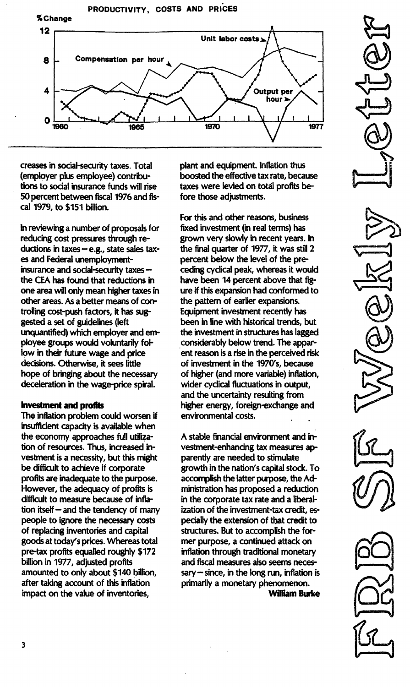

creases in social-security taxes. Total (employer plus employee) contributions to social insurance funds will rise 50 percent between fiscal 1976 and fiscal 1979, to \$151 billion.

In reviewing a number of proposals for reducing cost pressures through reductions in taxes  $-e.g.,$  state sales taxes and Federal unemploymentinsurance and social-security taxesthe CEA has found that reductions in one area will only mean higher taxes in other areas. As a better means of controlling cost-push factors, it has suggested a set of guidelines (left unquantified) which employer and employee groups would voluntarily follow in their future wage and price decisions. Otherwise, it sees little hope of bringing about the necessary deceleration in the wage-price spiral.

#### Investment and profits

The inflation problem could worsen if insufficient capacity is available when the economy approaches full utilization of resources. Thus, increased investment is a necessity, but this might be difficult to achieve if corporate profits are inadequate to the purpose. However, the adequacy of profits is difficult to measure because of inflation itself  $-$  and the tendency of many people to ignore the necessary costs of replacing inventories and capital goods at today's prices. Whereas total pre-tax profits equalled roughly \$172 billion in 1977, adjusted profits amounted to only about \$140 billion, after taking account of this inflation impact on the value of inventories,

plant and equipment. Inflation thus boosted the effective tax rate, because taxes were levied on total profits before those adjustments.

for this and other reasons, business fixed investment (in real terms) has grown very slowly in recent years. In the final quarter of 1977, it was still 2 percent below the level of the preceding cyclical peak, whereas it would have been 14 percent above that figure if this expansion had conformed to the pattern of earlier expansions. Equipment investment recently has been in line with historical trends, but the investment in structures has lagged considerably below trend. The appar- . ent reason is a rise in the perceived risk of investment in the 1970's, because of higher (and more variable) inflation, wider cyclical fluctuations in output, and the uncertainty resulting from higher energy, foreign-exchange and environmental costs.

A stable financia! environment and investment-enhancing tax measures apparently are needed to stimulate growth in the nation's capital stock. To accomplish the latter purpose, the Administration has proposed a reduction in the corporate tax rate and a liberalization of the investment-tax credit, especially the extension of that credit to structures. But to accomplish the former purpose, a continued attack on inflation through traditional monetary and fiscal measures also seems neces $sary - since$ , in the long run, inflation is primarily a monetary phenomenon.

William Burke